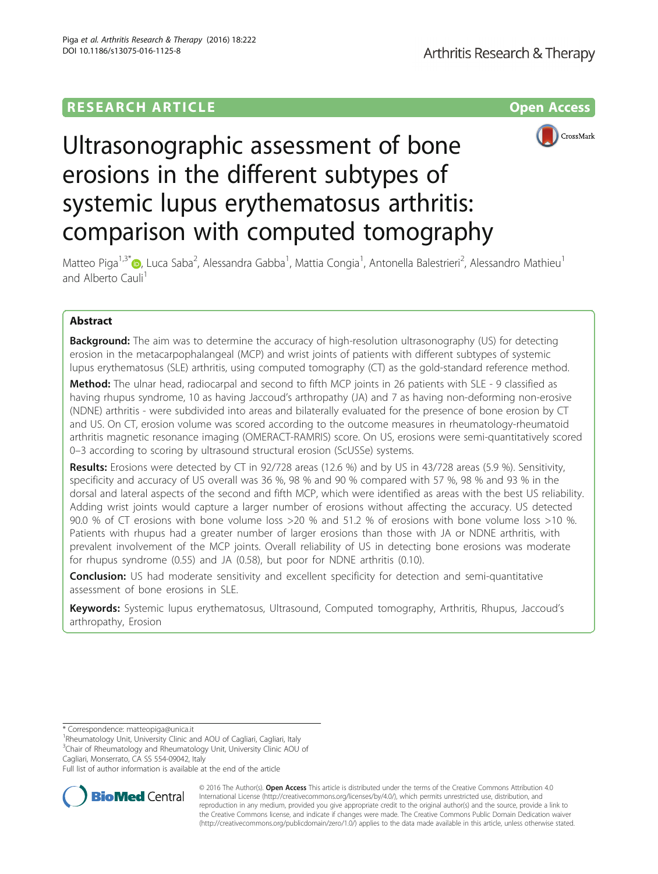# **RESEARCH ARTICLE Example 2014 12:30 The Contract of Contract ACCESS**



# Ultrasonographic assessment of bone erosions in the different subtypes of systemic lupus erythematosus arthritis: comparison with computed tomography

Matteo Piga<sup>1[,](http://orcid.org/0000-0002-1126-8315)3\*</sup>@, Luca Saba<sup>2</sup>, Alessandra Gabba<sup>1</sup>, Mattia Congia<sup>1</sup>, Antonella Balestrieri<sup>2</sup>, Alessandro Mathieu<sup>1</sup> and Alberto Cauli<sup>1</sup>

# Abstract

**Background:** The aim was to determine the accuracy of high-resolution ultrasonography (US) for detecting erosion in the metacarpophalangeal (MCP) and wrist joints of patients with different subtypes of systemic lupus erythematosus (SLE) arthritis, using computed tomography (CT) as the gold-standard reference method.

Method: The ulnar head, radiocarpal and second to fifth MCP joints in 26 patients with SLE - 9 classified as having rhupus syndrome, 10 as having Jaccoud's arthropathy (JA) and 7 as having non-deforming non-erosive (NDNE) arthritis - were subdivided into areas and bilaterally evaluated for the presence of bone erosion by CT and US. On CT, erosion volume was scored according to the outcome measures in rheumatology-rheumatoid arthritis magnetic resonance imaging (OMERACT-RAMRIS) score. On US, erosions were semi-quantitatively scored 0–3 according to scoring by ultrasound structural erosion (ScUSSe) systems.

Results: Erosions were detected by CT in 92/728 areas (12.6 %) and by US in 43/728 areas (5.9 %). Sensitivity, specificity and accuracy of US overall was 36 %, 98 % and 90 % compared with 57 %, 98 % and 93 % in the dorsal and lateral aspects of the second and fifth MCP, which were identified as areas with the best US reliability. Adding wrist joints would capture a larger number of erosions without affecting the accuracy. US detected 90.0 % of CT erosions with bone volume loss >20 % and 51.2 % of erosions with bone volume loss >10 %. Patients with rhupus had a greater number of larger erosions than those with JA or NDNE arthritis, with prevalent involvement of the MCP joints. Overall reliability of US in detecting bone erosions was moderate for rhupus syndrome (0.55) and JA (0.58), but poor for NDNE arthritis (0.10).

**Conclusion:** US had moderate sensitivity and excellent specificity for detection and semi-quantitative assessment of bone erosions in SLE.

Keywords: Systemic lupus erythematosus, Ultrasound, Computed tomography, Arthritis, Rhupus, Jaccoud's arthropathy, Erosion

\* Correspondence: [matteopiga@unica.it](mailto:matteopiga@unica.it) <sup>1</sup>

<sup>1</sup>Rheumatology Unit, University Clinic and AOU of Cagliari, Cagliari, Italy <sup>3</sup>Chair of Rheumatology and Rheumatology Unit, University Clinic AOU of Cagliari, Monserrato, CA SS 554-09042, Italy

Full list of author information is available at the end of the article



© 2016 The Author(s). Open Access This article is distributed under the terms of the Creative Commons Attribution 4.0 International License [\(http://creativecommons.org/licenses/by/4.0/](http://creativecommons.org/licenses/by/4.0/)), which permits unrestricted use, distribution, and reproduction in any medium, provided you give appropriate credit to the original author(s) and the source, provide a link to the Creative Commons license, and indicate if changes were made. The Creative Commons Public Domain Dedication waiver [\(http://creativecommons.org/publicdomain/zero/1.0/](http://creativecommons.org/publicdomain/zero/1.0/)) applies to the data made available in this article, unless otherwise stated.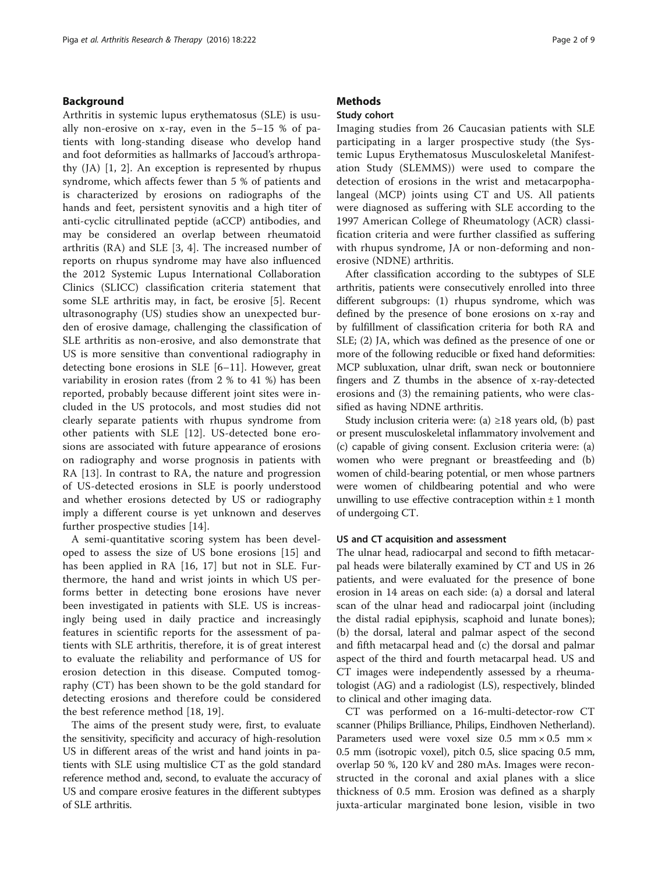# Background

Arthritis in systemic lupus erythematosus (SLE) is usually non-erosive on x-ray, even in the 5–15 % of patients with long-standing disease who develop hand and foot deformities as hallmarks of Jaccoud's arthropathy (JA) [\[1](#page-7-0), [2](#page-7-0)]. An exception is represented by rhupus syndrome, which affects fewer than 5 % of patients and is characterized by erosions on radiographs of the hands and feet, persistent synovitis and a high titer of anti-cyclic citrullinated peptide (aCCP) antibodies, and may be considered an overlap between rheumatoid arthritis (RA) and SLE [[3, 4\]](#page-7-0). The increased number of reports on rhupus syndrome may have also influenced the 2012 Systemic Lupus International Collaboration Clinics (SLICC) classification criteria statement that some SLE arthritis may, in fact, be erosive [[5\]](#page-7-0). Recent ultrasonography (US) studies show an unexpected burden of erosive damage, challenging the classification of SLE arthritis as non-erosive, and also demonstrate that US is more sensitive than conventional radiography in detecting bone erosions in SLE [[6](#page-7-0)–[11\]](#page-8-0). However, great variability in erosion rates (from 2 % to 41 %) has been reported, probably because different joint sites were included in the US protocols, and most studies did not clearly separate patients with rhupus syndrome from other patients with SLE [\[12](#page-8-0)]. US-detected bone erosions are associated with future appearance of erosions on radiography and worse prognosis in patients with RA [[13\]](#page-8-0). In contrast to RA, the nature and progression of US-detected erosions in SLE is poorly understood and whether erosions detected by US or radiography imply a different course is yet unknown and deserves further prospective studies [\[14](#page-8-0)].

A semi-quantitative scoring system has been developed to assess the size of US bone erosions [[15\]](#page-8-0) and has been applied in RA [[16, 17](#page-8-0)] but not in SLE. Furthermore, the hand and wrist joints in which US performs better in detecting bone erosions have never been investigated in patients with SLE. US is increasingly being used in daily practice and increasingly features in scientific reports for the assessment of patients with SLE arthritis, therefore, it is of great interest to evaluate the reliability and performance of US for erosion detection in this disease. Computed tomography (CT) has been shown to be the gold standard for detecting erosions and therefore could be considered the best reference method [[18](#page-8-0), [19](#page-8-0)].

The aims of the present study were, first, to evaluate the sensitivity, specificity and accuracy of high-resolution US in different areas of the wrist and hand joints in patients with SLE using multislice CT as the gold standard reference method and, second, to evaluate the accuracy of US and compare erosive features in the different subtypes of SLE arthritis.

# **Methods**

# Study cohort

Imaging studies from 26 Caucasian patients with SLE participating in a larger prospective study (the Systemic Lupus Erythematosus Musculoskeletal Manifestation Study (SLEMMS)) were used to compare the detection of erosions in the wrist and metacarpophalangeal (MCP) joints using CT and US. All patients were diagnosed as suffering with SLE according to the 1997 American College of Rheumatology (ACR) classification criteria and were further classified as suffering with rhupus syndrome, JA or non-deforming and nonerosive (NDNE) arthritis.

After classification according to the subtypes of SLE arthritis, patients were consecutively enrolled into three different subgroups: (1) rhupus syndrome, which was defined by the presence of bone erosions on x-ray and by fulfillment of classification criteria for both RA and SLE; (2) JA, which was defined as the presence of one or more of the following reducible or fixed hand deformities: MCP subluxation, ulnar drift, swan neck or boutonniere fingers and Z thumbs in the absence of x-ray-detected erosions and (3) the remaining patients, who were classified as having NDNE arthritis.

Study inclusion criteria were: (a) ≥18 years old, (b) past or present musculoskeletal inflammatory involvement and (c) capable of giving consent. Exclusion criteria were: (a) women who were pregnant or breastfeeding and (b) women of child-bearing potential, or men whose partners were women of childbearing potential and who were unwilling to use effective contraception within  $\pm 1$  month of undergoing CT.

# US and CT acquisition and assessment

The ulnar head, radiocarpal and second to fifth metacarpal heads were bilaterally examined by CT and US in 26 patients, and were evaluated for the presence of bone erosion in 14 areas on each side: (a) a dorsal and lateral scan of the ulnar head and radiocarpal joint (including the distal radial epiphysis, scaphoid and lunate bones); (b) the dorsal, lateral and palmar aspect of the second and fifth metacarpal head and (c) the dorsal and palmar aspect of the third and fourth metacarpal head. US and CT images were independently assessed by a rheumatologist (AG) and a radiologist (LS), respectively, blinded to clinical and other imaging data.

CT was performed on a 16-multi-detector-row CT scanner (Philips Brilliance, Philips, Eindhoven Netherland). Parameters used were voxel size  $0.5$  mm  $\times$  0.5 mm  $\times$ 0.5 mm (isotropic voxel), pitch 0.5, slice spacing 0.5 mm, overlap 50 %, 120 kV and 280 mAs. Images were reconstructed in the coronal and axial planes with a slice thickness of 0.5 mm. Erosion was defined as a sharply juxta-articular marginated bone lesion, visible in two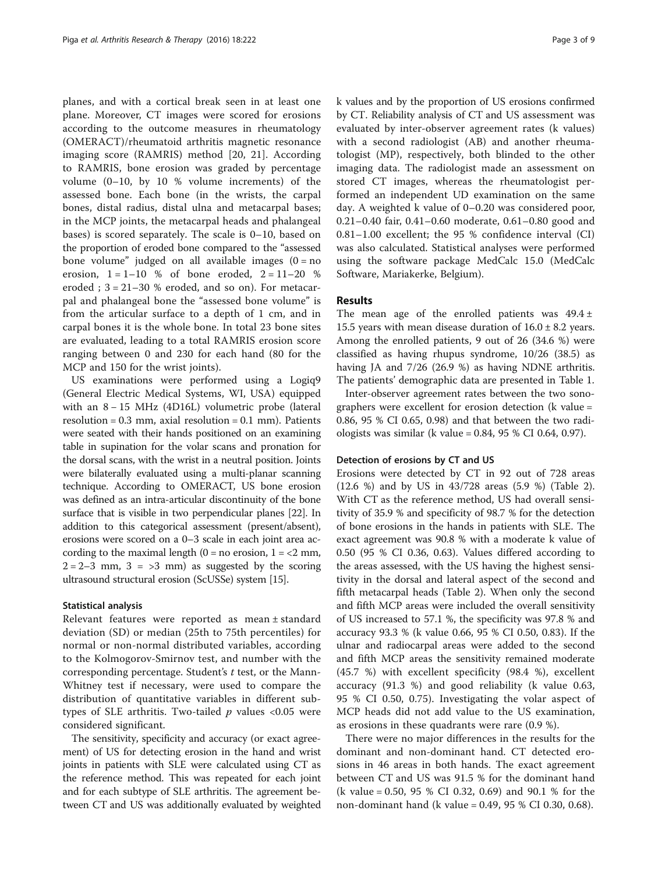planes, and with a cortical break seen in at least one plane. Moreover, CT images were scored for erosions according to the outcome measures in rheumatology (OMERACT)/rheumatoid arthritis magnetic resonance imaging score (RAMRIS) method [\[20](#page-8-0), [21](#page-8-0)]. According to RAMRIS, bone erosion was graded by percentage volume (0–10, by 10 % volume increments) of the assessed bone. Each bone (in the wrists, the carpal bones, distal radius, distal ulna and metacarpal bases; in the MCP joints, the metacarpal heads and phalangeal bases) is scored separately. The scale is 0–10, based on the proportion of eroded bone compared to the "assessed bone volume" judged on all available images  $(0 = no$ erosion,  $1 = 1 - 10$  % of bone eroded,  $2 = 11 - 20$  % eroded ;  $3 = 21 - 30$  % eroded, and so on). For metacarpal and phalangeal bone the "assessed bone volume" is from the articular surface to a depth of 1 cm, and in carpal bones it is the whole bone. In total 23 bone sites are evaluated, leading to a total RAMRIS erosion score ranging between 0 and 230 for each hand (80 for the MCP and 150 for the wrist joints).

US examinations were performed using a Logiq9 (General Electric Medical Systems, WI, USA) equipped with an 8 − 15 MHz (4D16L) volumetric probe (lateral resolution =  $0.3$  mm, axial resolution =  $0.1$  mm). Patients were seated with their hands positioned on an examining table in supination for the volar scans and pronation for the dorsal scans, with the wrist in a neutral position. Joints were bilaterally evaluated using a multi-planar scanning technique. According to OMERACT, US bone erosion was defined as an intra-articular discontinuity of the bone surface that is visible in two perpendicular planes [\[22](#page-8-0)]. In addition to this categorical assessment (present/absent), erosions were scored on a 0–3 scale in each joint area according to the maximal length  $(0 = no \, erosion, 1 = < 2 \, mm,$  $2 = 2-3$  mm,  $3 = 53$  mm) as suggested by the scoring ultrasound structural erosion (ScUSSe) system [[15](#page-8-0)].

## Statistical analysis

Relevant features were reported as mean ± standard deviation (SD) or median (25th to 75th percentiles) for normal or non-normal distributed variables, according to the Kolmogorov-Smirnov test, and number with the corresponding percentage. Student's t test, or the Mann-Whitney test if necessary, were used to compare the distribution of quantitative variables in different subtypes of SLE arthritis. Two-tailed  $p$  values <0.05 were considered significant.

The sensitivity, specificity and accuracy (or exact agreement) of US for detecting erosion in the hand and wrist joints in patients with SLE were calculated using CT as the reference method. This was repeated for each joint and for each subtype of SLE arthritis. The agreement between CT and US was additionally evaluated by weighted k values and by the proportion of US erosions confirmed by CT. Reliability analysis of CT and US assessment was evaluated by inter-observer agreement rates (k values) with a second radiologist (AB) and another rheumatologist (MP), respectively, both blinded to the other imaging data. The radiologist made an assessment on stored CT images, whereas the rheumatologist performed an independent UD examination on the same day. A weighted k value of 0–0.20 was considered poor, 0.21–0.40 fair, 0.41–0.60 moderate, 0.61–0.80 good and 0.81–1.00 excellent; the 95 % confidence interval (CI) was also calculated. Statistical analyses were performed using the software package MedCalc 15.0 (MedCalc Software, Mariakerke, Belgium).

# Results

The mean age of the enrolled patients was  $49.4 \pm$ 15.5 years with mean disease duration of  $16.0 \pm 8.2$  years. Among the enrolled patients, 9 out of 26 (34.6 %) were classified as having rhupus syndrome, 10/26 (38.5) as having JA and 7/26 (26.9 %) as having NDNE arthritis. The patients' demographic data are presented in Table [1.](#page-3-0)

Inter-observer agreement rates between the two sonographers were excellent for erosion detection (k value = 0.86, 95 % CI 0.65, 0.98) and that between the two radiologists was similar (k value = 0.84, 95 % CI 0.64, 0.97).

# Detection of erosions by CT and US

Erosions were detected by CT in 92 out of 728 areas (12.6 %) and by US in 43/728 areas (5.9 %) (Table [2](#page-4-0)). With CT as the reference method, US had overall sensitivity of 35.9 % and specificity of 98.7 % for the detection of bone erosions in the hands in patients with SLE. The exact agreement was 90.8 % with a moderate k value of 0.50 (95 % CI 0.36, 0.63). Values differed according to the areas assessed, with the US having the highest sensitivity in the dorsal and lateral aspect of the second and fifth metacarpal heads (Table [2\)](#page-4-0). When only the second and fifth MCP areas were included the overall sensitivity of US increased to 57.1 %, the specificity was 97.8 % and accuracy 93.3 % (k value 0.66, 95 % CI 0.50, 0.83). If the ulnar and radiocarpal areas were added to the second and fifth MCP areas the sensitivity remained moderate (45.7 %) with excellent specificity (98.4 %), excellent accuracy (91.3 %) and good reliability (k value 0.63, 95 % CI 0.50, 0.75). Investigating the volar aspect of MCP heads did not add value to the US examination, as erosions in these quadrants were rare (0.9 %).

There were no major differences in the results for the dominant and non-dominant hand. CT detected erosions in 46 areas in both hands. The exact agreement between CT and US was 91.5 % for the dominant hand (k value = 0.50, 95 % CI 0.32, 0.69) and 90.1 % for the non-dominant hand (k value = 0.49, 95 % CI 0.30, 0.68).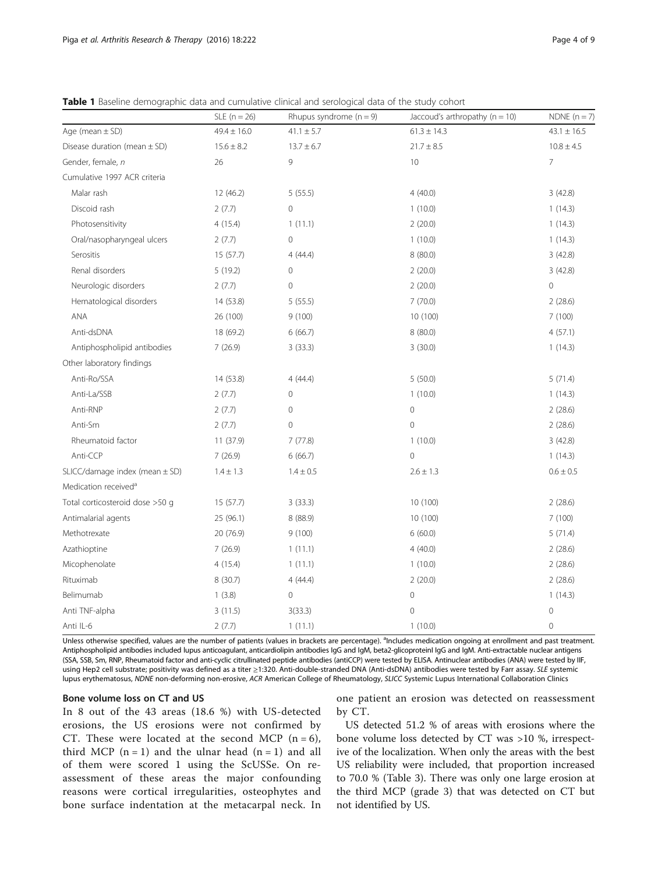<span id="page-3-0"></span>Table 1 Baseline demographic data and cumulative clinical and serological data of the study cohort

|                                    | $SLE (n = 26)$  | Rhupus syndrome $(n = 9)$ | Jaccoud's arthropathy ( $n = 10$ ) | NDNE $(n = 7)$  |
|------------------------------------|-----------------|---------------------------|------------------------------------|-----------------|
| Age (mean $\pm$ SD)                | $49.4 \pm 16.0$ | $41.1 \pm 5.7$            | $61.3 \pm 14.3$                    | $43.1 \pm 16.5$ |
| Disease duration (mean $\pm$ SD)   | $15.6 \pm 8.2$  | $13.7 \pm 6.7$            | $21.7 \pm 8.5$                     | $10.8 \pm 4.5$  |
| Gender, female, n                  | 26              | 9                         | 10                                 | 7               |
| Cumulative 1997 ACR criteria       |                 |                           |                                    |                 |
| Malar rash                         | 12 (46.2)       | 5(55.5)                   | 4(40.0)                            | 3(42.8)         |
| Discoid rash                       | 2(7.7)          | $\mathbf 0$               | 1(10.0)                            | 1(14.3)         |
| Photosensitivity                   | 4(15.4)         | 1(11.1)                   | 2(20.0)                            | 1(14.3)         |
| Oral/nasopharyngeal ulcers         | 2(7.7)          | $\mathbf 0$               | 1(10.0)                            | 1(14.3)         |
| Serositis                          | 15(57.7)        | 4(44.4)                   | 8(80.0)                            | 3(42.8)         |
| Renal disorders                    | 5(19.2)         | $\mathbf 0$               | 2(20.0)                            | 3(42.8)         |
| Neurologic disorders               | 2(7.7)          | $\mathbf 0$               | 2(20.0)                            | $\mathbf 0$     |
| Hematological disorders            | 14 (53.8)       | 5(55.5)                   | 7(70.0)                            | 2(28.6)         |
| <b>ANA</b>                         | 26 (100)        | 9(100)                    | 10 (100)                           | 7(100)          |
| Anti-dsDNA                         | 18 (69.2)       | 6(66.7)                   | 8(80.0)                            | 4(57.1)         |
| Antiphospholipid antibodies        | 7(26.9)         | 3(33.3)                   | 3(30.0)                            | 1(14.3)         |
| Other laboratory findings          |                 |                           |                                    |                 |
| Anti-Ro/SSA                        | 14 (53.8)       | 4(44.4)                   | 5(50.0)                            | 5(71.4)         |
| Anti-La/SSB                        | 2(7.7)          | 0                         | 1(10.0)                            | 1(14.3)         |
| Anti-RNP                           | 2(7.7)          | $\mathbf 0$               | $\mathbf 0$                        | 2(28.6)         |
| Anti-Sm                            | 2(7.7)          | $\overline{0}$            | $\overline{0}$                     | 2(28.6)         |
| Rheumatoid factor                  | 11 (37.9)       | 7(77.8)                   | 1(10.0)                            | 3(42.8)         |
| Anti-CCP                           | 7(26.9)         | 6(66.7)                   | $\overline{0}$                     | 1(14.3)         |
| SLICC/damage index (mean $\pm$ SD) | $1.4 \pm 1.3$   | $1.4 \pm 0.5$             | $2.6 \pm 1.3$                      | $0.6 \pm 0.5$   |
| Medication received <sup>a</sup>   |                 |                           |                                    |                 |
| Total corticosteroid dose >50 g    | 15(57.7)        | 3(33.3)                   | 10 (100)                           | 2(28.6)         |
| Antimalarial agents                | 25 (96.1)       | 8 (88.9)                  | 10 (100)                           | 7(100)          |
| Methotrexate                       | 20 (76.9)       | 9(100)                    | 6(60.0)                            | 5(71.4)         |
| Azathioptine                       | 7(26.9)         | 1(11.1)                   | 4(40.0)                            | 2(28.6)         |
| Micophenolate                      | 4(15.4)         | 1(11.1)                   | 1(10.0)                            | 2(28.6)         |
| Rituximab                          | 8(30.7)         | 4(44.4)                   | 2(20.0)                            | 2(28.6)         |
| Belimumab                          | 1(3.8)          | $\mathbf 0$               | $\mathbf 0$                        | 1(14.3)         |
| Anti TNF-alpha                     | 3(11.5)         | 3(33.3)                   | $\overline{0}$                     | $\mathbf 0$     |
| Anti IL-6                          | 2(7.7)          | 1(11.1)                   | 1(10.0)                            | $\mathbf 0$     |

Unless otherwise specified, values are the number of patients (values in brackets are percentage). <sup>a</sup>includes medication ongoing at enrollment and past treatment Antiphospholipid antibodies included lupus anticoagulant, anticardiolipin antibodies IgG and IgM, beta2-glicoproteinI IgG and IgM. Anti-extractable nuclear antigens (SSA, SSB, Sm, RNP, Rheumatoid factor and anti-cyclic citrullinated peptide antibodies (antiCCP) were tested by ELISA. Antinuclear antibodies (ANA) were tested by IIF, using Hep2 cell substrate; positivity was defined as a titer ≥1:320. Anti-double-stranded DNA (Anti-dsDNA) antibodies were tested by Farr assay. SLE systemic lupus erythematosus, NDNE non-deforming non-erosive, ACR American College of Rheumatology, SLICC Systemic Lupus International Collaboration Clinics

#### Bone volume loss on CT and US

In 8 out of the 43 areas (18.6 %) with US-detected erosions, the US erosions were not confirmed by CT. These were located at the second MCP  $(n = 6)$ , third MCP  $(n = 1)$  and the ulnar head  $(n = 1)$  and all of them were scored 1 using the ScUSSe. On reassessment of these areas the major confounding reasons were cortical irregularities, osteophytes and bone surface indentation at the metacarpal neck. In

one patient an erosion was detected on reassessment by CT.

US detected 51.2 % of areas with erosions where the bone volume loss detected by CT was >10 %, irrespective of the localization. When only the areas with the best US reliability were included, that proportion increased to 70.0 % (Table [3\)](#page-4-0). There was only one large erosion at the third MCP (grade 3) that was detected on CT but not identified by US.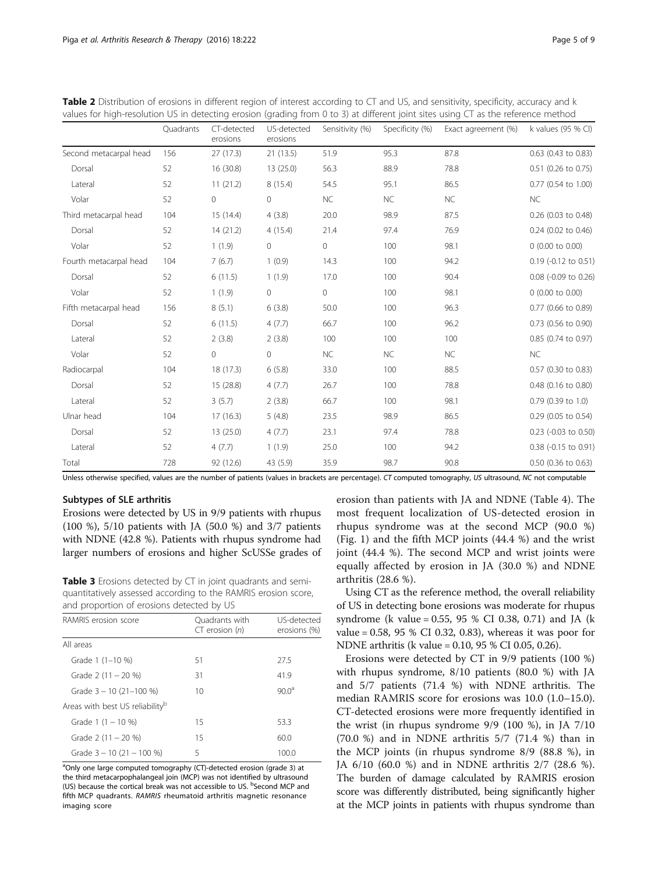|                        | Quadrants | CT-detected<br>erosions | US-detected<br>erosions | Sensitivity (%) | Specificity (%) | Exact agreement (%) | k values $(95 % CI)$  |
|------------------------|-----------|-------------------------|-------------------------|-----------------|-----------------|---------------------|-----------------------|
| Second metacarpal head | 156       | 27(17.3)                | 21(13.5)                | 51.9            | 95.3            | 87.8                | $0.63$ (0.43 to 0.83) |
| Dorsal                 | 52        | 16 (30.8)               | 13 (25.0)               | 56.3            | 88.9            | 78.8                | 0.51 (0.26 to 0.75)   |
| Lateral                | 52        | 11(21.2)                | 8(15.4)                 | 54.5            | 95.1            | 86.5                | 0.77 (0.54 to 1.00)   |
| Volar                  | 52        | $\overline{0}$          | $\Omega$                | <b>NC</b>       | <b>NC</b>       | <b>NC</b>           | <b>NC</b>             |
| Third metacarpal head  | 104       | 15(14.4)                | 4(3.8)                  | 20.0            | 98.9            | 87.5                | 0.26 (0.03 to 0.48)   |
| Dorsal                 | 52        | 14(21.2)                | 4(15.4)                 | 21.4            | 97.4            | 76.9                | 0.24 (0.02 to 0.46)   |
| Volar                  | 52        | 1(1.9)                  | $\mathbf{0}$            | $\overline{0}$  | 100             | 98.1                | 0(0.00 to 0.00)       |
| Fourth metacarpal head | 104       | 7(6.7)                  | 1(0.9)                  | 14.3            | 100             | 94.2                | 0.19 (-0.12 to 0.51)  |
| Dorsal                 | 52        | 6(11.5)                 | 1(1.9)                  | 17.0            | 100             | 90.4                | 0.08 (-0.09 to 0.26)  |
| Volar                  | 52        | 1(1.9)                  | $\overline{0}$          | $\circ$         | 100             | 98.1                | 0(0.00 to 0.00)       |
| Fifth metacarpal head  | 156       | 8(5.1)                  | 6(3.8)                  | 50.0            | 100             | 96.3                | $0.77$ (0.66 to 0.89) |
| Dorsal                 | 52        | 6(11.5)                 | 4(7.7)                  | 66.7            | 100             | 96.2                | 0.73 (0.56 to 0.90)   |
| Lateral                | 52        | 2(3.8)                  | 2(3.8)                  | 100             | 100             | 100                 | 0.85 (0.74 to 0.97)   |
| Volar                  | 52        | $\circ$                 | 0                       | <b>NC</b>       | <b>NC</b>       | <b>NC</b>           | <b>NC</b>             |
| Radiocarpal            | 104       | 18 (17.3)               | 6(5.8)                  | 33.0            | 100             | 88.5                | 0.57 (0.30 to 0.83)   |
| Dorsal                 | 52        | 15 (28.8)               | 4(7.7)                  | 26.7            | 100             | 78.8                | 0.48 (0.16 to 0.80)   |
| Lateral                | 52        | 3(5.7)                  | 2(3.8)                  | 66.7            | 100             | 98.1                | $0.79$ (0.39 to 1.0)  |
| Ulnar head             | 104       | 17(16.3)                | 5(4.8)                  | 23.5            | 98.9            | 86.5                | $0.29$ (0.05 to 0.54) |
| Dorsal                 | 52        | 13 (25.0)               | 4(7.7)                  | 23.1            | 97.4            | 78.8                | 0.23 (-0.03 to 0.50)  |
| Lateral                | 52        | 4(7.7)                  | 1(1.9)                  | 25.0            | 100             | 94.2                | 0.38 (-0.15 to 0.91)  |
| Total                  | 728       | 92 (12.6)               | 43 (5.9)                | 35.9            | 98.7            | 90.8                | 0.50 (0.36 to 0.63)   |

<span id="page-4-0"></span>Table 2 Distribution of erosions in different region of interest according to CT and US, and sensitivity, specificity, accuracy and k values for high-resolution US in detecting erosion (grading from 0 to 3) at different joint sites using CT as the reference method

Unless otherwise specified, values are the number of patients (values in brackets are percentage). CT computed tomography, US ultrasound, NC not computable

### Subtypes of SLE arthritis

Erosions were detected by US in 9/9 patients with rhupus (100 %), 5/10 patients with JA (50.0 %) and 3/7 patients with NDNE (42.8 %). Patients with rhupus syndrome had larger numbers of erosions and higher ScUSSe grades of

**Table 3** Erosions detected by CT in joint quadrants and semiquantitatively assessed according to the RAMRIS erosion score, and proportion of erosions detected by US

| RAMRIS erosion score                        | Ouadrants with<br>$CT$ erosion $(n)$ | US-detected<br>erosions (%) |  |
|---------------------------------------------|--------------------------------------|-----------------------------|--|
| All areas                                   |                                      |                             |  |
| Grade 1 (1-10 %)                            | 51                                   | 27.5                        |  |
| Grade 2 (11 - 20 %)                         | 31                                   | 41.9                        |  |
| Grade $3 - 10$ (21-100 %)                   | 10                                   | 90.0 <sup>a</sup>           |  |
| Areas with best US reliability <sup>b</sup> |                                      |                             |  |
| Grade $1(1 - 10\%)$                         | 15                                   | 53.3                        |  |
| Grade $2(11 - 20\%)$                        | 15                                   | 60.0                        |  |
| Grade $3 - 10(21 - 100\%)$                  | 5                                    | 100.0                       |  |

<sup>a</sup>Only one large computed tomography (CT)-detected erosion (grade 3) at the third metacarpophalangeal join (MCP) was not identified by ultrasound (US) because the cortical break was not accessible to US. <sup>b</sup>Second MCP and fifth MCP quadrants. RAMRIS rheumatoid arthritis magnetic resonance imaging score

erosion than patients with JA and NDNE (Table [4\)](#page-5-0). The most frequent localization of US-detected erosion in rhupus syndrome was at the second MCP (90.0 %) (Fig. [1](#page-5-0)) and the fifth MCP joints (44.4 %) and the wrist joint (44.4 %). The second MCP and wrist joints were equally affected by erosion in JA (30.0 %) and NDNE arthritis (28.6 %).

Using CT as the reference method, the overall reliability of US in detecting bone erosions was moderate for rhupus syndrome (k value = 0.55, 95 % CI 0.38, 0.71) and JA (k value = 0.58, 95 % CI 0.32, 0.83), whereas it was poor for NDNE arthritis (k value = 0.10, 95 % CI 0.05, 0.26).

Erosions were detected by CT in 9/9 patients (100 %) with rhupus syndrome, 8/10 patients (80.0 %) with JA and 5/7 patients (71.4 %) with NDNE arthritis. The median RAMRIS score for erosions was 10.0 (1.0–15.0). CT-detected erosions were more frequently identified in the wrist (in rhupus syndrome 9/9 (100 %), in JA 7/10 (70.0 %) and in NDNE arthritis 5/7 (71.4 %) than in the MCP joints (in rhupus syndrome 8/9 (88.8 %), in JA 6/10 (60.0 %) and in NDNE arthritis 2/7 (28.6 %). The burden of damage calculated by RAMRIS erosion score was differently distributed, being significantly higher at the MCP joints in patients with rhupus syndrome than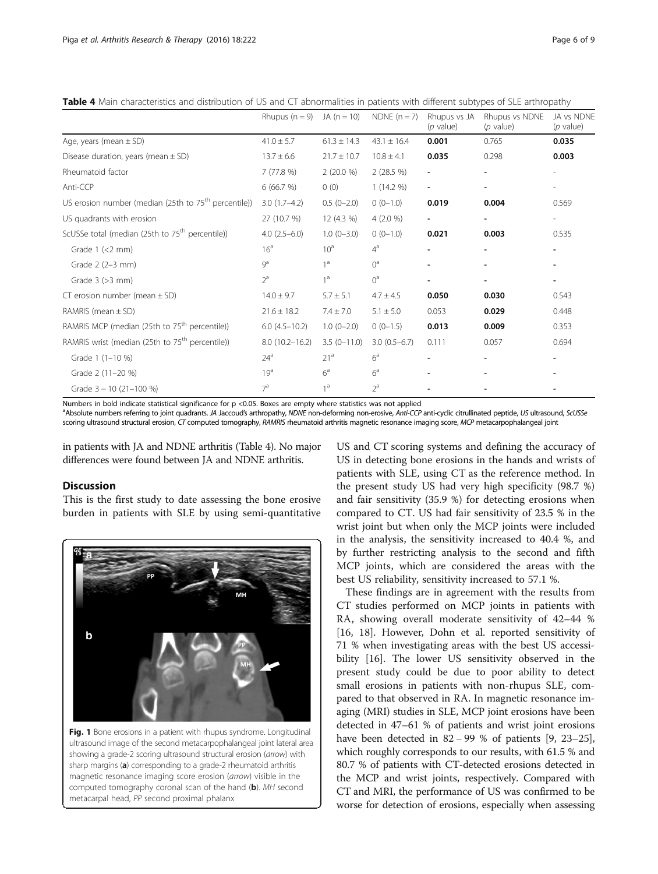<span id="page-5-0"></span>

| Table 4 Main characteristics and distribution of US and CT abnormalities in patients with different subtypes of SLE arthropathy |  |  |
|---------------------------------------------------------------------------------------------------------------------------------|--|--|
|---------------------------------------------------------------------------------------------------------------------------------|--|--|

|                                                                  | Rhupus $(n = 9)$   | $JA (n = 10)$   | NDNE $(n = 7)$  | Rhupus vs JA<br>$(p$ value) | Rhupus vs NDNE<br>$(p$ value) | JA vs NDNE<br>$(p$ value) |
|------------------------------------------------------------------|--------------------|-----------------|-----------------|-----------------------------|-------------------------------|---------------------------|
| Age, years (mean $\pm$ SD)                                       | $41.0 \pm 5.7$     | $61.3 \pm 14.3$ | $43.1 \pm 16.4$ | 0.001                       | 0.765                         | 0.035                     |
| Disease duration, years (mean $\pm$ SD)                          | $13.7 \pm 6.6$     | $21.7 \pm 10.7$ | $10.8 \pm 4.1$  | 0.035                       | 0.298                         | 0.003                     |
| Rheumatoid factor                                                | 7(77.8%)           | $2(20.0\%)$     | 2(28.5%)        | $\overline{\phantom{a}}$    | $\overline{\phantom{a}}$      | $\overline{a}$            |
| Anti-CCP                                                         | 6(66.7%)           | 0(0)            | $1(14.2\%)$     | $\overline{\phantom{a}}$    | $\overline{\phantom{a}}$      | $\overline{a}$            |
| US erosion number (median (25th to 75 <sup>th</sup> percentile)) | $3.0(1.7-4.2)$     | $0.5(0-2.0)$    | $0(0-1.0)$      | 0.019                       | 0.004                         | 0.569                     |
| US quadrants with erosion                                        | 27 (10.7 %)        | 12 (4.3 %)      | 4(2.0%          | $\overline{\phantom{a}}$    | $\blacksquare$                | $\overline{\phantom{a}}$  |
| ScUSSe total (median (25th to 75 <sup>th</sup> percentile))      | $4.0(2.5-6.0)$     | $1.0(0-3.0)$    | $0(0-1.0)$      | 0.021                       | 0.003                         | 0.535                     |
| Grade $1$ (<2 mm)                                                | 16 <sup>a</sup>    | 10 <sup>a</sup> | $4^a$           |                             |                               |                           |
| Grade 2 (2-3 mm)                                                 | $Q^a$              | 1 <sup>a</sup>  | $0^a$           |                             |                               |                           |
| Grade $3$ ( $>3$ mm)                                             | $2^a$              | 1 <sup>a</sup>  | $0^a$           | $\overline{\phantom{0}}$    | $\blacksquare$                | $\overline{\phantom{0}}$  |
| CT erosion number (mean $\pm$ SD)                                | $14.0 \pm 9.7$     | $5.7 \pm 5.1$   | $4.7 \pm 4.5$   | 0.050                       | 0.030                         | 0.543                     |
| RAMRIS (mean $\pm$ SD)                                           | $21.6 \pm 18.2$    | $7.4 \pm 7.0$   | $5.1 \pm 5.0$   | 0.053                       | 0.029                         | 0.448                     |
| RAMRIS MCP (median (25th to 75 <sup>th</sup> percentile))        | $6.0(4.5-10.2)$    | $1.0(0-2.0)$    | $0(0-1.5)$      | 0.013                       | 0.009                         | 0.353                     |
| RAMRIS wrist (median (25th to 75 <sup>th</sup> percentile))      | $8.0(10.2 - 16.2)$ | $3.5(0-11.0)$   | $3.0(0.5-6.7)$  | 0.111                       | 0.057                         | 0.694                     |
| Grade 1 (1-10 %)                                                 | $24^a$             | 21 <sup>a</sup> | 6 <sup>a</sup>  |                             |                               |                           |
| Grade 2 (11-20 %)                                                | 19 <sup>a</sup>    | $6^a$           | 6 <sup>a</sup>  |                             |                               |                           |
| Grade $3 - 10$ (21-100 %)                                        | 7 <sup>a</sup>     | 1 <sup>a</sup>  | $2^a$           |                             |                               |                           |

Numbers in bold indicate statistical significance for  $p < 0.05$ . Boxes are empty where statistics was not applied

a<br>Absolute numbers referring to joint quadrants. JA Jaccoud's arthropathy, NDNE non-deforming non-erosive, Anti-CCP anti-cyclic citrullinated peptide, US ultrasound, ScUSSe scoring ultrasound structural erosion, CT computed tomography, RAMRIS rheumatoid arthritis magnetic resonance imaging score, MCP metacarpophalangeal joint

in patients with JA and NDNE arthritis (Table 4). No major differences were found between JA and NDNE arthritis.

# **Discussion**

This is the first study to date assessing the bone erosive burden in patients with SLE by using semi-quantitative



Fig. 1 Bone erosions in a patient with rhupus syndrome. Longitudinal ultrasound image of the second metacarpophalangeal joint lateral area showing a grade-2 scoring ultrasound structural erosion (arrow) with sharp margins (a) corresponding to a grade-2 rheumatoid arthritis magnetic resonance imaging score erosion (arrow) visible in the computed tomography coronal scan of the hand (b). MH second metacarpal head, PP second proximal phalanx

US and CT scoring systems and defining the accuracy of US in detecting bone erosions in the hands and wrists of patients with SLE, using CT as the reference method. In the present study US had very high specificity (98.7 %) and fair sensitivity (35.9 %) for detecting erosions when compared to CT. US had fair sensitivity of 23.5 % in the wrist joint but when only the MCP joints were included in the analysis, the sensitivity increased to 40.4 %, and by further restricting analysis to the second and fifth MCP joints, which are considered the areas with the best US reliability, sensitivity increased to 57.1 %.

These findings are in agreement with the results from CT studies performed on MCP joints in patients with RA, showing overall moderate sensitivity of 42–44 % [[16, 18\]](#page-8-0). However, Dohn et al. reported sensitivity of 71 % when investigating areas with the best US accessibility [\[16\]](#page-8-0). The lower US sensitivity observed in the present study could be due to poor ability to detect small erosions in patients with non-rhupus SLE, compared to that observed in RA. In magnetic resonance imaging (MRI) studies in SLE, MCP joint erosions have been detected in 47–61 % of patients and wrist joint erosions have been detected in 82 − 99 % of patients [\[9, 23](#page-8-0)–[25](#page-8-0)], which roughly corresponds to our results, with 61.5 % and 80.7 % of patients with CT-detected erosions detected in the MCP and wrist joints, respectively. Compared with CT and MRI, the performance of US was confirmed to be worse for detection of erosions, especially when assessing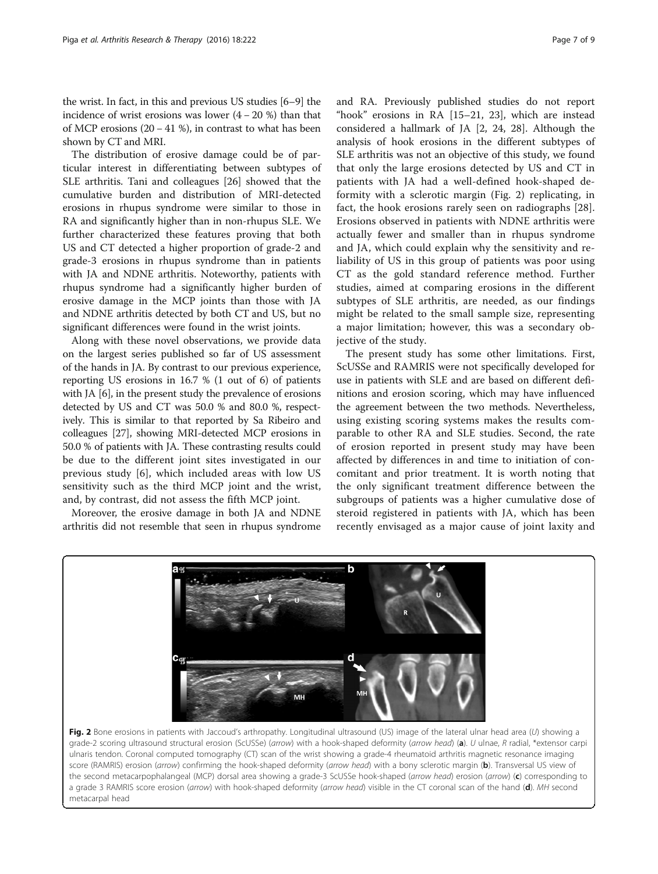the wrist. In fact, in this and previous US studies [[6](#page-7-0)–[9](#page-8-0)] the incidence of wrist erosions was lower (4 − 20 %) than that of MCP erosions (20 − 41 %), in contrast to what has been shown by CT and MRI.

The distribution of erosive damage could be of particular interest in differentiating between subtypes of SLE arthritis. Tani and colleagues [[26](#page-8-0)] showed that the cumulative burden and distribution of MRI-detected erosions in rhupus syndrome were similar to those in RA and significantly higher than in non-rhupus SLE. We further characterized these features proving that both US and CT detected a higher proportion of grade-2 and grade-3 erosions in rhupus syndrome than in patients with JA and NDNE arthritis. Noteworthy, patients with rhupus syndrome had a significantly higher burden of erosive damage in the MCP joints than those with JA and NDNE arthritis detected by both CT and US, but no significant differences were found in the wrist joints.

Along with these novel observations, we provide data on the largest series published so far of US assessment of the hands in JA. By contrast to our previous experience, reporting US erosions in 16.7 % (1 out of 6) of patients with JA [\[6](#page-7-0)], in the present study the prevalence of erosions detected by US and CT was 50.0 % and 80.0 %, respectively. This is similar to that reported by Sa Ribeiro and colleagues [[27](#page-8-0)], showing MRI-detected MCP erosions in 50.0 % of patients with JA. These contrasting results could be due to the different joint sites investigated in our previous study [\[6](#page-7-0)], which included areas with low US sensitivity such as the third MCP joint and the wrist, and, by contrast, did not assess the fifth MCP joint.

Moreover, the erosive damage in both JA and NDNE arthritis did not resemble that seen in rhupus syndrome

and RA. Previously published studies do not report "hook" erosions in RA [\[15](#page-8-0)–[21, 23\]](#page-8-0), which are instead considered a hallmark of JA [\[2](#page-7-0), [24, 28](#page-8-0)]. Although the analysis of hook erosions in the different subtypes of SLE arthritis was not an objective of this study, we found that only the large erosions detected by US and CT in patients with JA had a well-defined hook-shaped deformity with a sclerotic margin (Fig. 2) replicating, in fact, the hook erosions rarely seen on radiographs [\[28](#page-8-0)]. Erosions observed in patients with NDNE arthritis were actually fewer and smaller than in rhupus syndrome and JA, which could explain why the sensitivity and reliability of US in this group of patients was poor using CT as the gold standard reference method. Further studies, aimed at comparing erosions in the different subtypes of SLE arthritis, are needed, as our findings might be related to the small sample size, representing a major limitation; however, this was a secondary objective of the study.

The present study has some other limitations. First, ScUSSe and RAMRIS were not specifically developed for use in patients with SLE and are based on different definitions and erosion scoring, which may have influenced the agreement between the two methods. Nevertheless, using existing scoring systems makes the results comparable to other RA and SLE studies. Second, the rate of erosion reported in present study may have been affected by differences in and time to initiation of concomitant and prior treatment. It is worth noting that the only significant treatment difference between the subgroups of patients was a higher cumulative dose of steroid registered in patients with JA, which has been recently envisaged as a major cause of joint laxity and



Fig. 2 Bone erosions in patients with Jaccoud's arthropathy. Longitudinal ultrasound (US) image of the lateral ulnar head area (U) showing a grade-2 scoring ultrasound structural erosion (ScUSSe) (arrow) with a hook-shaped deformity (arrow head) (a). U ulnae, R radial, \*extensor carpi ulnaris tendon. Coronal computed tomography (CT) scan of the wrist showing a grade-4 rheumatoid arthritis magnetic resonance imaging score (RAMRIS) erosion (arrow) confirming the hook-shaped deformity (arrow head) with a bony sclerotic margin (b). Transversal US view of the second metacarpophalangeal (MCP) dorsal area showing a grade-3 ScUSSe hook-shaped (arrow head) erosion (arrow) (c) corresponding to a grade 3 RAMRIS score erosion (arrow) with hook-shaped deformity (arrow head) visible in the CT coronal scan of the hand (d). MH second metacarpal head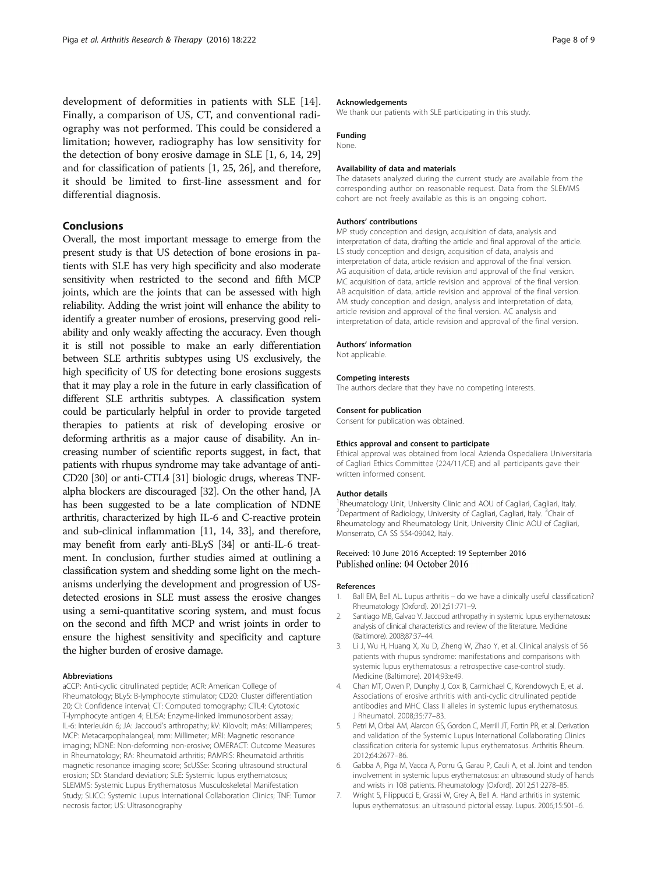<span id="page-7-0"></span>development of deformities in patients with SLE [\[14](#page-8-0)]. Finally, a comparison of US, CT, and conventional radiography was not performed. This could be considered a limitation; however, radiography has low sensitivity for the detection of bony erosive damage in SLE [1, 6, [14, 29](#page-8-0)] and for classification of patients [1, [25](#page-8-0), [26](#page-8-0)], and therefore, it should be limited to first-line assessment and for differential diagnosis.

# Conclusions

Overall, the most important message to emerge from the present study is that US detection of bone erosions in patients with SLE has very high specificity and also moderate sensitivity when restricted to the second and fifth MCP joints, which are the joints that can be assessed with high reliability. Adding the wrist joint will enhance the ability to identify a greater number of erosions, preserving good reliability and only weakly affecting the accuracy. Even though it is still not possible to make an early differentiation between SLE arthritis subtypes using US exclusively, the high specificity of US for detecting bone erosions suggests that it may play a role in the future in early classification of different SLE arthritis subtypes. A classification system could be particularly helpful in order to provide targeted therapies to patients at risk of developing erosive or deforming arthritis as a major cause of disability. An increasing number of scientific reports suggest, in fact, that patients with rhupus syndrome may take advantage of anti-CD20 [\[30\]](#page-8-0) or anti-CTL4 [\[31](#page-8-0)] biologic drugs, whereas TNFalpha blockers are discouraged [[32](#page-8-0)]. On the other hand, JA has been suggested to be a late complication of NDNE arthritis, characterized by high IL-6 and C-reactive protein and sub-clinical inflammation [\[11](#page-8-0), [14](#page-8-0), [33\]](#page-8-0), and therefore, may benefit from early anti-BLyS [[34\]](#page-8-0) or anti-IL-6 treatment. In conclusion, further studies aimed at outlining a classification system and shedding some light on the mechanisms underlying the development and progression of USdetected erosions in SLE must assess the erosive changes using a semi-quantitative scoring system, and must focus on the second and fifth MCP and wrist joints in order to ensure the highest sensitivity and specificity and capture the higher burden of erosive damage.

#### Abbreviations

aCCP: Anti-cyclic citrullinated peptide; ACR: American College of Rheumatology; BLyS: B-lymphocyte stimulator; CD20: Cluster differentiation 20; CI: Confidence interval; CT: Computed tomography; CTL4: Cytotoxic T-lymphocyte antigen 4; ELISA: Enzyme-linked immunosorbent assay; IL-6: Interleukin 6; JA: Jaccoud's arthropathy; kV: Kilovolt; mAs: Milliamperes; MCP: Metacarpophalangeal; mm: Millimeter; MRI: Magnetic resonance imaging; NDNE: Non-deforming non-erosive; OMERACT: Outcome Measures in Rheumatology; RA: Rheumatoid arthritis; RAMRIS: Rheumatoid arthritis magnetic resonance imaging score; ScUSSe: Scoring ultrasound structural erosion; SD: Standard deviation; SLE: Systemic lupus erythematosus; SLEMMS: Systemic Lupus Erythematosus Musculoskeletal Manifestation Study; SLICC: Systemic Lupus International Collaboration Clinics; TNF: Tumor necrosis factor; US: Ultrasonography

#### Acknowledgements

We thank our patients with SLE participating in this study.

## Funding

None.

#### Availability of data and materials

The datasets analyzed during the current study are available from the corresponding author on reasonable request. Data from the SLEMMS cohort are not freely available as this is an ongoing cohort.

## Authors' contributions

MP study conception and design, acquisition of data, analysis and interpretation of data, drafting the article and final approval of the article. LS study conception and design, acquisition of data, analysis and interpretation of data, article revision and approval of the final version. AG acquisition of data, article revision and approval of the final version. MC acquisition of data, article revision and approval of the final version. AB acquisition of data, article revision and approval of the final version. AM study conception and design, analysis and interpretation of data, article revision and approval of the final version. AC analysis and interpretation of data, article revision and approval of the final version.

#### Authors' information

Not applicable.

#### Competing interests

The authors declare that they have no competing interests.

#### Consent for publication

Consent for publication was obtained.

#### Ethics approval and consent to participate

Ethical approval was obtained from local Azienda Ospedaliera Universitaria of Cagliari Ethics Committee (224/11/CE) and all participants gave their written informed consent.

#### Author details

<sup>1</sup>Rheumatology Unit, University Clinic and AOU of Cagliari, Cagliari, Italy. <sup>2</sup>Department of Radiology, University of Cagliari, Cagliari, Italy.<sup>3</sup>Chair of Rheumatology and Rheumatology Unit, University Clinic AOU of Cagliari, Monserrato, CA SS 554-09042, Italy.

# Received: 10 June 2016 Accepted: 19 September 2016 Published online: 04 October 2016

#### References

- 1. Ball EM, Bell AL. Lupus arthritis do we have a clinically useful classification? Rheumatology (Oxford). 2012;51:771–9.
- 2. Santiago MB, Galvao V. Jaccoud arthropathy in systemic lupus erythematosus: analysis of clinical characteristics and review of the literature. Medicine (Baltimore). 2008;87:37–44.
- 3. Li J, Wu H, Huang X, Xu D, Zheng W, Zhao Y, et al. Clinical analysis of 56 patients with rhupus syndrome: manifestations and comparisons with systemic lupus erythematosus: a retrospective case-control study. Medicine (Baltimore). 2014;93:e49.
- 4. Chan MT, Owen P, Dunphy J, Cox B, Carmichael C, Korendowych E, et al. Associations of erosive arthritis with anti-cyclic citrullinated peptide antibodies and MHC Class II alleles in systemic lupus erythematosus. J Rheumatol. 2008;35:77–83.
- 5. Petri M, Orbai AM, Alarcon GS, Gordon C, Merrill JT, Fortin PR, et al. Derivation and validation of the Systemic Lupus International Collaborating Clinics classification criteria for systemic lupus erythematosus. Arthritis Rheum. 2012;64:2677–86.
- 6. Gabba A, Piga M, Vacca A, Porru G, Garau P, Cauli A, et al. Joint and tendon involvement in systemic lupus erythematosus: an ultrasound study of hands and wrists in 108 patients. Rheumatology (Oxford). 2012;51:2278–85.
- 7. Wright S, Filippucci E, Grassi W, Grey A, Bell A. Hand arthritis in systemic lupus erythematosus: an ultrasound pictorial essay. Lupus. 2006;15:501–6.